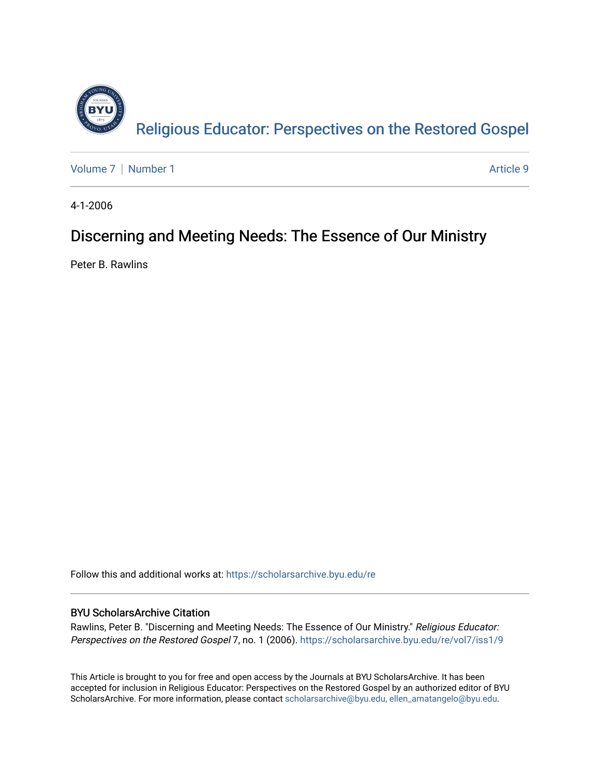

[Volume 7](https://scholarsarchive.byu.edu/re/vol7) | [Number 1](https://scholarsarchive.byu.edu/re/vol7/iss1) Article 9

4-1-2006

# Discerning and Meeting Needs: The Essence of Our Ministry

Peter B. Rawlins

Follow this and additional works at: [https://scholarsarchive.byu.edu/re](https://scholarsarchive.byu.edu/re?utm_source=scholarsarchive.byu.edu%2Fre%2Fvol7%2Fiss1%2F9&utm_medium=PDF&utm_campaign=PDFCoverPages)

# BYU ScholarsArchive Citation

Rawlins, Peter B. "Discerning and Meeting Needs: The Essence of Our Ministry." Religious Educator: Perspectives on the Restored Gospel 7, no. 1 (2006). https://scholarsarchive.byu.edu/re/vol7/iss1/9

This Article is brought to you for free and open access by the Journals at BYU ScholarsArchive. It has been accepted for inclusion in Religious Educator: Perspectives on the Restored Gospel by an authorized editor of BYU ScholarsArchive. For more information, please contact [scholarsarchive@byu.edu, ellen\\_amatangelo@byu.edu.](mailto:scholarsarchive@byu.edu,%20ellen_amatangelo@byu.edu)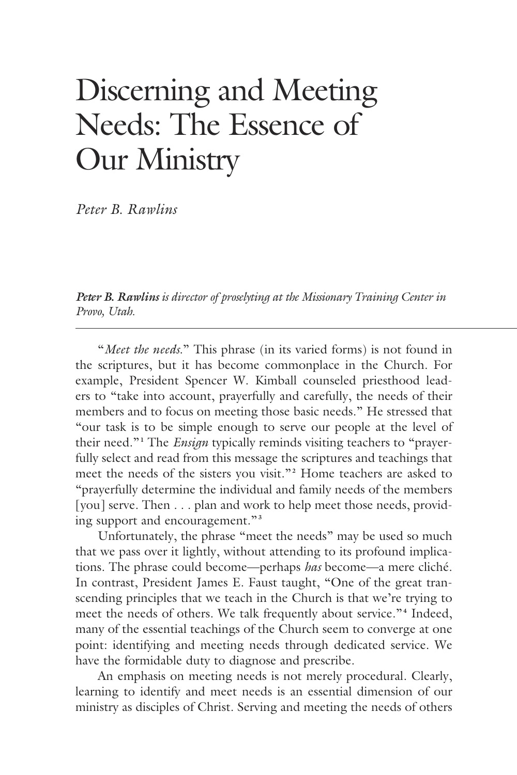# Discerning and Meeting Needs: The Essence of Our Ministry

*Peter B. Rawlins*

*Peter B. Rawlins is director of proselyting at the Missionary Training Center in Provo, Utah.*

 "*Meet the needs.*" This phrase (in its varied forms) is not found in the scriptures, but it has become commonplace in the Church. For example, President Spencer W. Kimball counseled priesthood leaders to "take into account, prayerfully and carefully, the needs of their members and to focus on meeting those basic needs." He stressed that "our task is to be simple enough to serve our people at the level of their need."**<sup>1</sup>** The *Ensign* typically reminds visiting teachers to "prayerfully select and read from this message the scriptures and teachings that meet the needs of the sisters you visit."**<sup>2</sup>** Home teachers are asked to "prayerfully determine the individual and family needs of the members [you] serve. Then . . . plan and work to help meet those needs, providing support and encouragement."**<sup>3</sup>**

 Unfortunately, the phrase "meet the needs" may be used so much that we pass over it lightly, without attending to its profound implications. The phrase could become—perhaps *has* become—a mere cliché. In contrast, President James E. Faust taught, "One of the great transcending principles that we teach in the Church is that we're trying to meet the needs of others. We talk frequently about service."<sup>4</sup> Indeed, many of the essential teachings of the Church seem to converge at one point: identifying and meeting needs through dedicated service. We have the formidable duty to diagnose and prescribe.

 An emphasis on meeting needs is not merely procedural. Clearly, learning to identify and meet needs is an essential dimension of our ministry as disciples of Christ. Serving and meeting the needs of others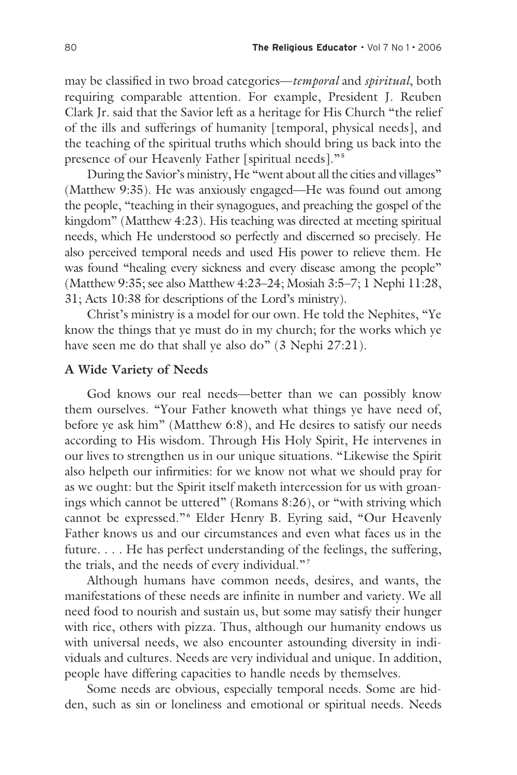may be classified in two broad categories—*temporal* and *spiritual*, both requiring comparable attention. For example, President J. Reuben Clark Jr. said that the Savior left as a heritage for His Church "the relief of the ills and sufferings of humanity [temporal, physical needs], and the teaching of the spiritual truths which should bring us back into the presence of our Heavenly Father [spiritual needs]."**<sup>5</sup>**

 During the Savior's ministry, He "went about all the cities and villages" (Matthew 9:35). He was anxiously engaged—He was found out among the people, "teaching in their synagogues, and preaching the gospel of the kingdom" (Matthew 4:23). His teaching was directed at meeting spiritual needs, which He understood so perfectly and discerned so precisely. He also perceived temporal needs and used His power to relieve them. He was found "healing every sickness and every disease among the people" (Matthew 9:35; see also Matthew 4:23–24; Mosiah 3:5–7; 1 Nephi 11:28, 31; Acts 10:38 for descriptions of the Lord's ministry).

 Christ's ministry is a model for our own. He told the Nephites, "Ye know the things that ye must do in my church; for the works which ye have seen me do that shall ye also do" (3 Nephi 27:21).

#### **A Wide Variety of Needs**

 God knows our real needs—better than we can possibly know them ourselves. "Your Father knoweth what things ye have need of, before ye ask him" (Matthew 6:8), and He desires to satisfy our needs according to His wisdom. Through His Holy Spirit, He intervenes in our lives to strengthen us in our unique situations. "Likewise the Spirit also helpeth our infirmities: for we know not what we should pray for as we ought: but the Spirit itself maketh intercession for us with groanings which cannot be uttered" (Romans 8:26), or "with striving which cannot be expressed."**<sup>6</sup>** Elder Henry B. Eyring said, "Our Heavenly Father knows us and our circumstances and even what faces us in the future. . . . He has perfect understanding of the feelings, the suffering, the trials, and the needs of every individual."**<sup>7</sup>**

 Although humans have common needs, desires, and wants, the manifestations of these needs are infinite in number and variety. We all need food to nourish and sustain us, but some may satisfy their hunger with rice, others with pizza. Thus, although our humanity endows us with universal needs, we also encounter astounding diversity in individuals and cultures. Needs are very individual and unique. In addition, people have differing capacities to handle needs by themselves.

 Some needs are obvious, especially temporal needs. Some are hidden, such as sin or loneliness and emotional or spiritual needs. Needs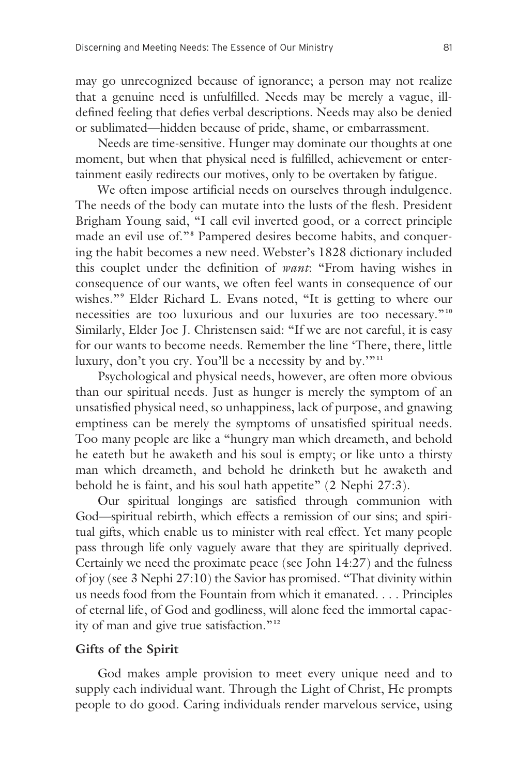may go unrecognized because of ignorance; a person may not realize that a genuine need is unfulfilled. Needs may be merely a vague, illdefined feeling that defies verbal descriptions. Needs may also be denied or sublimated—hidden because of pride, shame, or embarrassment.

 Needs are time-sensitive. Hunger may dominate our thoughts at one moment, but when that physical need is fulfilled, achievement or entertainment easily redirects our motives, only to be overtaken by fatigue.

 We often impose artificial needs on ourselves through indulgence. The needs of the body can mutate into the lusts of the flesh. President Brigham Young said, "I call evil inverted good, or a correct principle made an evil use of."<sup>8</sup> Pampered desires become habits, and conquering the habit becomes a new need. Webster's 1828 dictionary included this couplet under the definition of *want*: "From having wishes in consequence of our wants, we often feel wants in consequence of our wishes."**<sup>9</sup>** Elder Richard L. Evans noted, "It is getting to where our necessities are too luxurious and our luxuries are too necessary."**<sup>10</sup>** Similarly, Elder Joe J. Christensen said: "If we are not careful, it is easy for our wants to become needs. Remember the line 'There, there, little luxury, don't you cry. You'll be a necessity by and by.'"**<sup>11</sup>**

 Psychological and physical needs, however, are often more obvious than our spiritual needs. Just as hunger is merely the symptom of an unsatisfied physical need, so unhappiness, lack of purpose, and gnawing emptiness can be merely the symptoms of unsatisfied spiritual needs. Too many people are like a "hungry man which dreameth, and behold he eateth but he awaketh and his soul is empty; or like unto a thirsty man which dreameth, and behold he drinketh but he awaketh and behold he is faint, and his soul hath appetite" (2 Nephi 27:3).

 Our spiritual longings are satisfied through communion with God—spiritual rebirth, which effects a remission of our sins; and spiritual gifts, which enable us to minister with real effect. Yet many people pass through life only vaguely aware that they are spiritually deprived. Certainly we need the proximate peace (see John 14:27) and the fulness of joy (see 3 Nephi 27:10) the Savior has promised. "That divinity within us needs food from the Fountain from which it emanated. . . . Principles of eternal life, of God and godliness, will alone feed the immortal capacity of man and give true satisfaction."**<sup>12</sup>**

### **Gifts of the Spirit**

 God makes ample provision to meet every unique need and to supply each individual want. Through the Light of Christ, He prompts people to do good. Caring individuals render marvelous service, using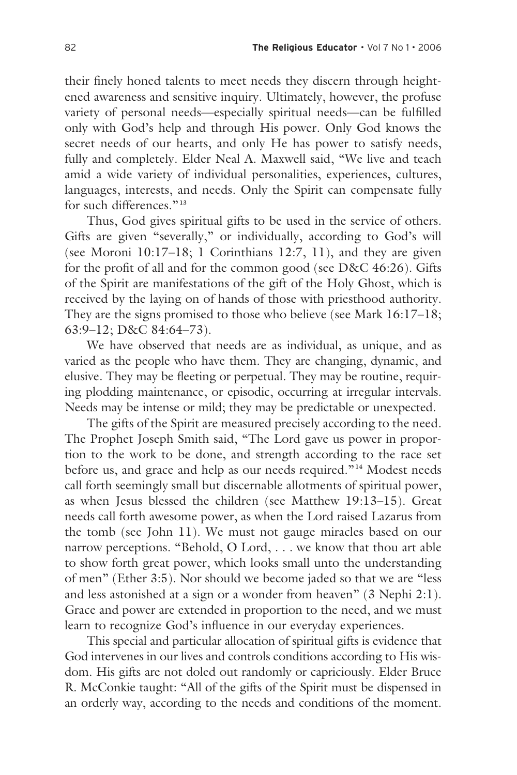their finely honed talents to meet needs they discern through heightened awareness and sensitive inquiry. Ultimately, however, the profuse variety of personal needs—especially spiritual needs—can be fulfilled only with God's help and through His power. Only God knows the secret needs of our hearts, and only He has power to satisfy needs, fully and completely. Elder Neal A. Maxwell said, "We live and teach amid a wide variety of individual personalities, experiences, cultures, languages, interests, and needs. Only the Spirit can compensate fully for such differences."**<sup>13</sup>**

 Thus, God gives spiritual gifts to be used in the service of others. Gifts are given "severally," or individually, according to God's will (see Moroni 10:17–18; 1 Corinthians 12:7, 11), and they are given for the profit of all and for the common good (see D&C 46:26). Gifts of the Spirit are manifestations of the gift of the Holy Ghost, which is received by the laying on of hands of those with priesthood authority. They are the signs promised to those who believe (see Mark 16:17–18; 63:9–12; D&C 84:64–73).

 We have observed that needs are as individual, as unique, and as varied as the people who have them. They are changing, dynamic, and elusive. They may be fleeting or perpetual. They may be routine, requiring plodding maintenance, or episodic, occurring at irregular intervals. Needs may be intense or mild; they may be predictable or unexpected.

 The gifts of the Spirit are measured precisely according to the need. The Prophet Joseph Smith said, "The Lord gave us power in proportion to the work to be done, and strength according to the race set before us, and grace and help as our needs required." **<sup>14</sup>** Modest needs call forth seemingly small but discernable allotments of spiritual power, as when Jesus blessed the children (see Matthew 19:13–15). Great needs call forth awesome power, as when the Lord raised Lazarus from the tomb (see John 11). We must not gauge miracles based on our narrow perceptions. "Behold, O Lord, . . . we know that thou art able to show forth great power, which looks small unto the understanding of men" (Ether 3:5). Nor should we become jaded so that we are "less and less astonished at a sign or a wonder from heaven" (3 Nephi 2:1). Grace and power are extended in proportion to the need, and we must learn to recognize God's influence in our everyday experiences.

 This special and particular allocation of spiritual gifts is evidence that God intervenes in our lives and controls conditions according to His wisdom. His gifts are not doled out randomly or capriciously. Elder Bruce R. McConkie taught: "All of the gifts of the Spirit must be dispensed in an orderly way, according to the needs and conditions of the moment.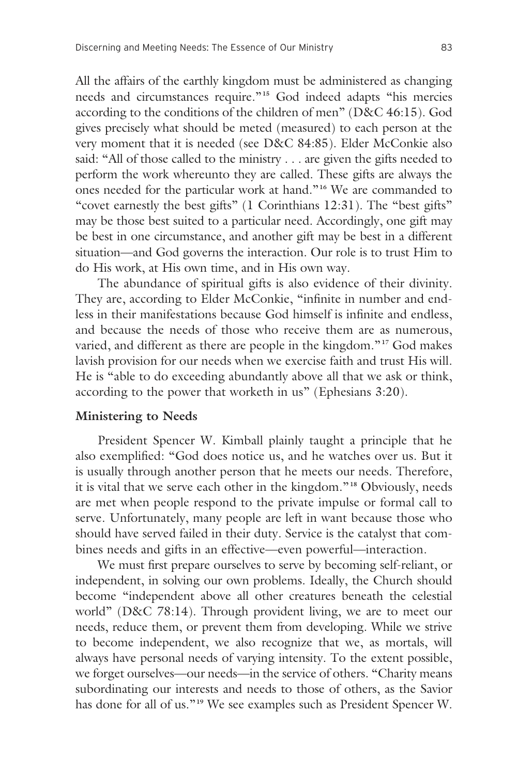All the affairs of the earthly kingdom must be administered as changing needs and circumstances require."**15** God indeed adapts "his mercies according to the conditions of the children of men" (D&C 46:15). God gives precisely what should be meted (measured) to each person at the very moment that it is needed (see D&C 84:85). Elder McConkie also said: "All of those called to the ministry . . . are given the gifts needed to perform the work whereunto they are called. These gifts are always the ones needed for the particular work at hand."**16** We are commanded to "covet earnestly the best gifts" (1 Corinthians 12:31). The "best gifts" may be those best suited to a particular need. Accordingly, one gift may be best in one circumstance, and another gift may be best in a different situation—and God governs the interaction. Our role is to trust Him to do His work, at His own time, and in His own way.

 The abundance of spiritual gifts is also evidence of their divinity. They are, according to Elder McConkie, "infinite in number and endless in their manifestations because God himself is infinite and endless, and because the needs of those who receive them are as numerous, varied, and different as there are people in the kingdom."<sup>17</sup> God makes lavish provision for our needs when we exercise faith and trust His will. He is "able to do exceeding abundantly above all that we ask or think, according to the power that worketh in us" (Ephesians 3:20).

#### **Ministering to Needs**

 President Spencer W. Kimball plainly taught a principle that he also exemplified: "God does notice us, and he watches over us. But it is usually through another person that he meets our needs. Therefore, it is vital that we serve each other in the kingdom."**18** Obviously, needs are met when people respond to the private impulse or formal call to serve. Unfortunately, many people are left in want because those who should have served failed in their duty. Service is the catalyst that combines needs and gifts in an effective—even powerful—interaction.

 We must first prepare ourselves to serve by becoming self-reliant, or independent, in solving our own problems. Ideally, the Church should become "independent above all other creatures beneath the celestial world" (D&C 78:14). Through provident living, we are to meet our needs, reduce them, or prevent them from developing. While we strive to become independent, we also recognize that we, as mortals, will always have personal needs of varying intensity. To the extent possible, we forget ourselves—our needs—in the service of others. "Charity means subordinating our interests and needs to those of others, as the Savior has done for all of us."**19** We see examples such as President Spencer W.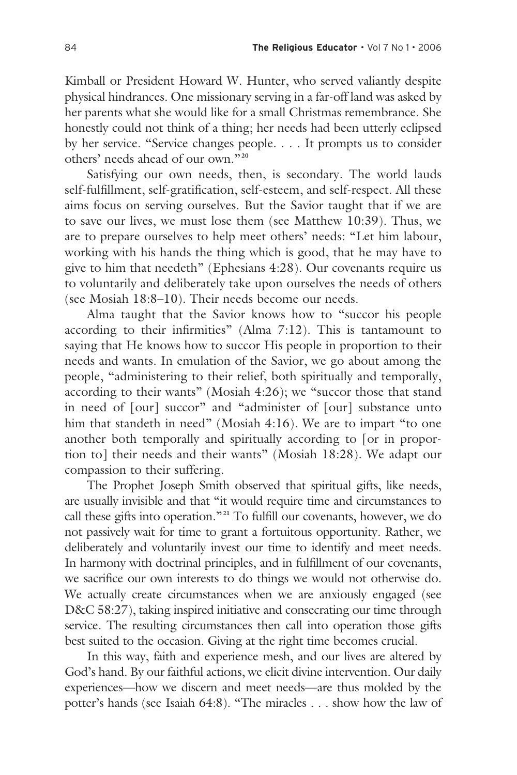Kimball or President Howard W. Hunter, who served valiantly despite physical hindrances. One missionary serving in a far-off land was asked by her parents what she would like for a small Christmas remembrance. She honestly could not think of a thing; her needs had been utterly eclipsed by her service. "Service changes people. . . . It prompts us to consider others' needs ahead of our own."**<sup>20</sup>**

 Satisfying our own needs, then, is secondary. The world lauds self-fulfillment, self-gratification, self-esteem, and self-respect. All these aims focus on serving ourselves. But the Savior taught that if we are to save our lives, we must lose them (see Matthew 10:39). Thus, we are to prepare ourselves to help meet others' needs: "Let him labour, working with his hands the thing which is good, that he may have to give to him that needeth" (Ephesians 4:28). Our covenants require us to voluntarily and deliberately take upon ourselves the needs of others (see Mosiah 18:8–10). Their needs become our needs.

 Alma taught that the Savior knows how to "succor his people according to their infirmities" (Alma 7:12). This is tantamount to saying that He knows how to succor His people in proportion to their needs and wants. In emulation of the Savior, we go about among the people, "administering to their relief, both spiritually and temporally, according to their wants" (Mosiah 4:26); we "succor those that stand in need of [our] succor" and "administer of [our] substance unto him that standeth in need" (Mosiah 4:16). We are to impart "to one another both temporally and spiritually according to [or in proportion to] their needs and their wants" (Mosiah 18:28). We adapt our compassion to their suffering.

 The Prophet Joseph Smith observed that spiritual gifts, like needs, are usually invisible and that "it would require time and circumstances to call these gifts into operation."**21** To fulfill our covenants, however, we do not passively wait for time to grant a fortuitous opportunity. Rather, we deliberately and voluntarily invest our time to identify and meet needs. In harmony with doctrinal principles, and in fulfillment of our covenants, we sacrifice our own interests to do things we would not otherwise do. We actually create circumstances when we are anxiously engaged (see D&C 58:27), taking inspired initiative and consecrating our time through service. The resulting circumstances then call into operation those gifts best suited to the occasion. Giving at the right time becomes crucial.

 In this way, faith and experience mesh, and our lives are altered by God's hand. By our faithful actions, we elicit divine intervention. Our daily experiences—how we discern and meet needs—are thus molded by the potter's hands (see Isaiah 64:8). "The miracles . . . show how the law of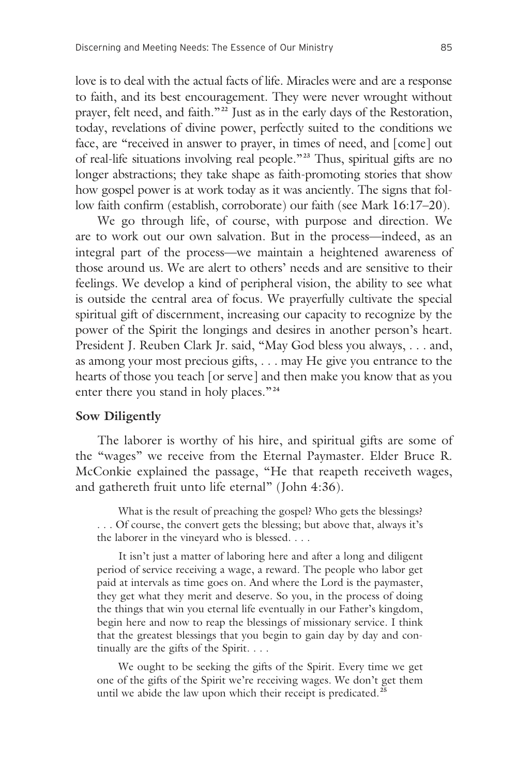love is to deal with the actual facts of life. Miracles were and are a response to faith, and its best encouragement. They were never wrought without prayer, felt need, and faith."**22** Just as in the early days of the Restoration, today, revelations of divine power, perfectly suited to the conditions we face, are "received in answer to prayer, in times of need, and [come] out of real-life situations involving real people."**23** Thus, spiritual gifts are no longer abstractions; they take shape as faith-promoting stories that show how gospel power is at work today as it was anciently. The signs that follow faith confirm (establish, corroborate) our faith (see Mark 16:17–20).

 We go through life, of course, with purpose and direction. We are to work out our own salvation. But in the process—indeed, as an integral part of the process—we maintain a heightened awareness of those around us. We are alert to others' needs and are sensitive to their feelings. We develop a kind of peripheral vision, the ability to see what is outside the central area of focus. We prayerfully cultivate the special spiritual gift of discernment, increasing our capacity to recognize by the power of the Spirit the longings and desires in another person's heart. President J. Reuben Clark Jr. said, "May God bless you always, . . . and, as among your most precious gifts, . . . may He give you entrance to the hearts of those you teach [or serve] and then make you know that as you enter there you stand in holy places."**<sup>24</sup>**

#### **Sow Diligently**

 The laborer is worthy of his hire, and spiritual gifts are some of the "wages" we receive from the Eternal Paymaster. Elder Bruce R. McConkie explained the passage, "He that reapeth receiveth wages, and gathereth fruit unto life eternal" (John 4:36).

 What is the result of preaching the gospel? Who gets the blessings? . . . Of course, the convert gets the blessing; but above that, always it's the laborer in the vineyard who is blessed. . . .

 It isn't just a matter of laboring here and after a long and diligent period of service receiving a wage, a reward. The people who labor get paid at intervals as time goes on. And where the Lord is the paymaster, they get what they merit and deserve. So you, in the process of doing the things that win you eternal life eventually in our Father's kingdom, begin here and now to reap the blessings of missionary service. I think that the greatest blessings that you begin to gain day by day and continually are the gifts of the Spirit. . . .

 We ought to be seeking the gifts of the Spirit. Every time we get one of the gifts of the Spirit we're receiving wages. We don't get them until we abide the law upon which their receipt is predicated.**<sup>25</sup>**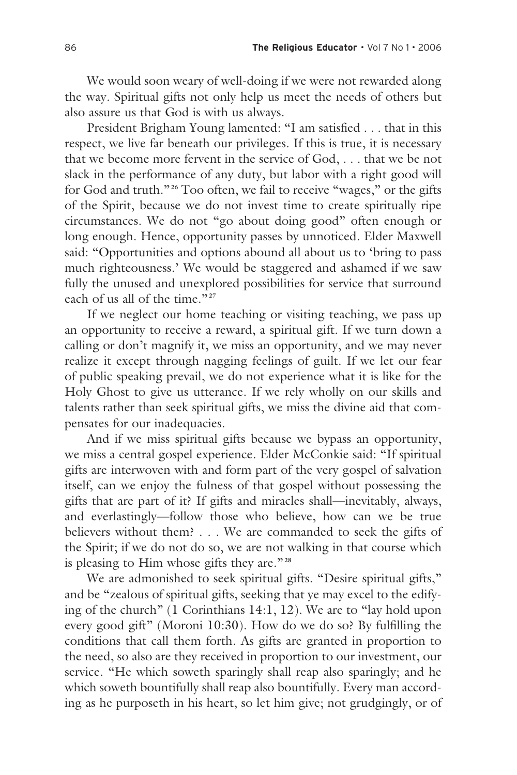We would soon weary of well-doing if we were not rewarded along the way. Spiritual gifts not only help us meet the needs of others but also assure us that God is with us always.

 President Brigham Young lamented: "I am satisfied . . . that in this respect, we live far beneath our privileges. If this is true, it is necessary that we become more fervent in the service of God, . . . that we be not slack in the performance of any duty, but labor with a right good will for God and truth."**26** Too often, we fail to receive "wages," or the gifts of the Spirit, because we do not invest time to create spiritually ripe circumstances. We do not "go about doing good" often enough or long enough. Hence, opportunity passes by unnoticed. Elder Maxwell said: "Opportunities and options abound all about us to 'bring to pass much righteousness.' We would be staggered and ashamed if we saw fully the unused and unexplored possibilities for service that surround each of us all of the time."**<sup>27</sup>**

 If we neglect our home teaching or visiting teaching, we pass up an opportunity to receive a reward, a spiritual gift. If we turn down a calling or don't magnify it, we miss an opportunity, and we may never realize it except through nagging feelings of guilt. If we let our fear of public speaking prevail, we do not experience what it is like for the Holy Ghost to give us utterance. If we rely wholly on our skills and talents rather than seek spiritual gifts, we miss the divine aid that compensates for our inadequacies.

 And if we miss spiritual gifts because we bypass an opportunity, we miss a central gospel experience. Elder McConkie said: "If spiritual gifts are interwoven with and form part of the very gospel of salvation itself, can we enjoy the fulness of that gospel without possessing the gifts that are part of it? If gifts and miracles shall—inevitably, always, and everlastingly—follow those who believe, how can we be true believers without them? . . . We are commanded to seek the gifts of the Spirit; if we do not do so, we are not walking in that course which is pleasing to Him whose gifts they are."**<sup>28</sup>**

 We are admonished to seek spiritual gifts. "Desire spiritual gifts," and be "zealous of spiritual gifts, seeking that ye may excel to the edifying of the church" (1 Corinthians 14:1, 12). We are to "lay hold upon every good gift" (Moroni 10:30). How do we do so? By fulfilling the conditions that call them forth. As gifts are granted in proportion to the need, so also are they received in proportion to our investment, our service. "He which soweth sparingly shall reap also sparingly; and he which soweth bountifully shall reap also bountifully. Every man according as he purposeth in his heart, so let him give; not grudgingly, or of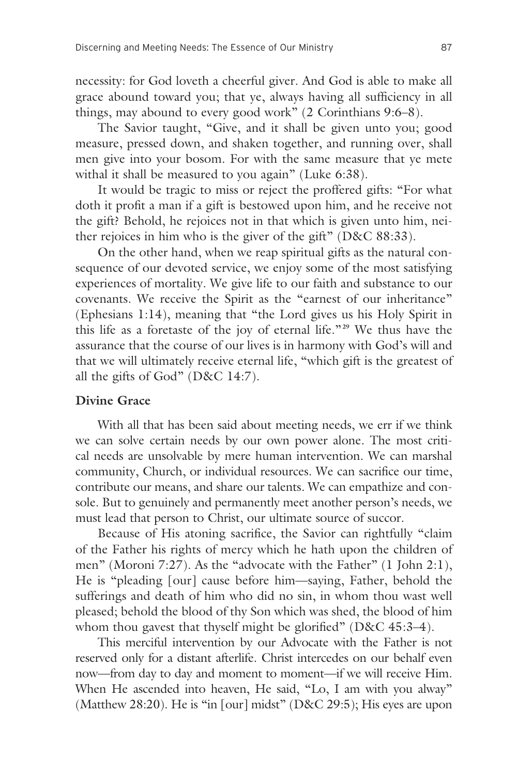necessity: for God loveth a cheerful giver. And God is able to make all grace abound toward you; that ye, always having all sufficiency in all things, may abound to every good work" (2 Corinthians 9:6–8).

 The Savior taught, "Give, and it shall be given unto you; good measure, pressed down, and shaken together, and running over, shall men give into your bosom. For with the same measure that ye mete withal it shall be measured to you again" (Luke 6:38).

 It would be tragic to miss or reject the proffered gifts: "For what doth it profit a man if a gift is bestowed upon him, and he receive not the gift? Behold, he rejoices not in that which is given unto him, neither rejoices in him who is the giver of the gift" (D&C 88:33).

 On the other hand, when we reap spiritual gifts as the natural consequence of our devoted service, we enjoy some of the most satisfying experiences of mortality. We give life to our faith and substance to our covenants. We receive the Spirit as the "earnest of our inheritance" (Ephesians 1:14), meaning that "the Lord gives us his Holy Spirit in this life as a foretaste of the joy of eternal life."**29** We thus have the assurance that the course of our lives is in harmony with God's will and that we will ultimately receive eternal life, "which gift is the greatest of all the gifts of God" (D&C 14:7).

## **Divine Grace**

 With all that has been said about meeting needs, we err if we think we can solve certain needs by our own power alone. The most critical needs are unsolvable by mere human intervention. We can marshal community, Church, or individual resources. We can sacrifice our time, contribute our means, and share our talents. We can empathize and console. But to genuinely and permanently meet another person's needs, we must lead that person to Christ, our ultimate source of succor.

 Because of His atoning sacrifice, the Savior can rightfully "claim of the Father his rights of mercy which he hath upon the children of men" (Moroni 7:27). As the "advocate with the Father" (1 John 2:1), He is "pleading [our] cause before him—saying, Father, behold the sufferings and death of him who did no sin, in whom thou wast well pleased; behold the blood of thy Son which was shed, the blood of him whom thou gavest that thyself might be glorified" (D&C 45:3-4).

 This merciful intervention by our Advocate with the Father is not reserved only for a distant afterlife. Christ intercedes on our behalf even now—from day to day and moment to moment—if we will receive Him. When He ascended into heaven, He said, "Lo, I am with you alway" (Matthew 28:20). He is "in [our] midst" (D&C 29:5); His eyes are upon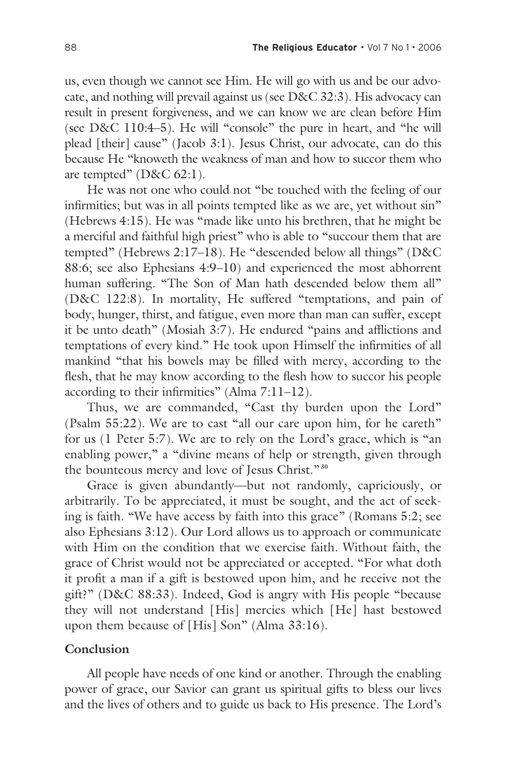us, even though we cannot see Him. He will go with us and be our advocate, and nothing will prevail against us (see D&C 32:3). His advocacy can result in present forgiveness, and we can know we are clean before Him (see D&C 110:4–5). He will "console" the pure in heart, and "he will plead [their] cause" (Jacob 3:1). Jesus Christ, our advocate, can do this because He "knoweth the weakness of man and how to succor them who are tempted" (D&C 62:1).

 He was not one who could not "be touched with the feeling of our infirmities; but was in all points tempted like as we are, yet without sin" (Hebrews 4:15). He was "made like unto his brethren, that he might be a merciful and faithful high priest" who is able to "succour them that are tempted" (Hebrews 2:17–18). He "descended below all things" (D&C 88:6; see also Ephesians 4:9–10) and experienced the most abhorrent human suffering. "The Son of Man hath descended below them all" (D&C 122:8). In mortality, He suffered "temptations, and pain of body, hunger, thirst, and fatigue, even more than man can suffer, except it be unto death" (Mosiah 3:7). He endured "pains and afflictions and temptations of every kind." He took upon Himself the infirmities of all mankind "that his bowels may be filled with mercy, according to the flesh, that he may know according to the flesh how to succor his people according to their infirmities" (Alma 7:11–12).

Thus, we are commanded, "Cast thy burden upon the Lord" (Psalm 55:22). We are to cast "all our care upon him, for he careth" for us (1 Peter 5:7). We are to rely on the Lord's grace, which is "an enabling power," a "divine means of help or strength, given through the bounteous mercy and love of Jesus Christ."**<sup>30</sup>**

 Grace is given abundantly—but not randomly, capriciously, or arbitrarily. To be appreciated, it must be sought, and the act of seeking is faith. "We have access by faith into this grace" (Romans 5:2; see also Ephesians 3:12). Our Lord allows us to approach or communicate with Him on the condition that we exercise faith. Without faith, the grace of Christ would not be appreciated or accepted. "For what doth it profit a man if a gift is bestowed upon him, and he receive not the gift?" (D&C 88:33). Indeed, God is angry with His people "because they will not understand [His] mercies which [He] hast bestowed upon them because of [His] Son" (Alma 33:16).

#### **Conclusion**

 All people have needs of one kind or another. Through the enabling power of grace, our Savior can grant us spiritual gifts to bless our lives and the lives of others and to guide us back to His presence. The Lord's